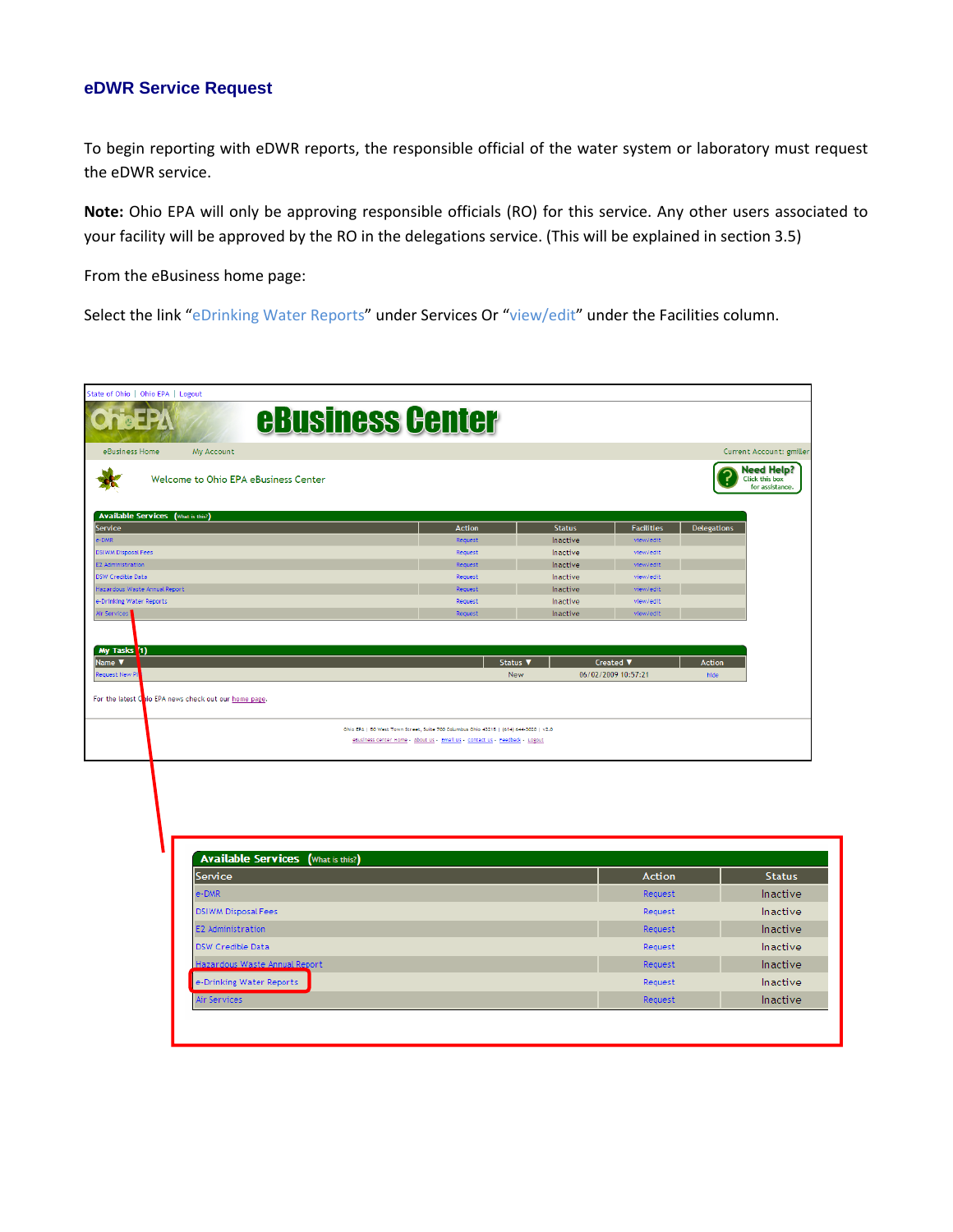### **eDWR Service Request**

To begin reporting with eDWR reports, the responsible official of the water system or laboratory must request the eDWR service.

**Note:** Ohio EPA will only be approving responsible officials (RO) for this service. Any other users associated to your facility will be approved by the RO in the delegations service. (This will be explained in section 3.5)

From the eBusiness home page:

Select the link "eDrinking Water Reports" under Services Or "view/edit" under the Facilities column.

| State of Ohio   Ohio EPA   Logout<br><b>eBusiness Center</b><br><b>CEPA</b>                                        |                                                                                       |                      |                        |                          |                                                        |
|--------------------------------------------------------------------------------------------------------------------|---------------------------------------------------------------------------------------|----------------------|------------------------|--------------------------|--------------------------------------------------------|
|                                                                                                                    |                                                                                       |                      |                        |                          |                                                        |
| eBusiness Home<br>My Account                                                                                       |                                                                                       |                      |                        | Current Account: gmiller |                                                        |
| Welcome to Ohio EPA eBusiness Center                                                                               |                                                                                       |                      |                        |                          | <b>Need Help?</b><br>Click this box<br>for assistance. |
| <b>Available Services</b> (What is this?)                                                                          |                                                                                       |                      |                        |                          |                                                        |
| Service                                                                                                            | <b>Action</b>                                                                         | <b>Status</b>        | <b>Facilities</b>      | <b>Delegations</b>       |                                                        |
| e-DMR                                                                                                              | Request                                                                               | Inactive             | view/edit              |                          |                                                        |
| <b>DSIWM Disposal Fees</b>                                                                                         | Request                                                                               | Inactive             | view/edit              |                          |                                                        |
| E2 Administration<br>DSW Credible Data                                                                             | Request<br>Request                                                                    | Inactive<br>Inactive | view/edit<br>view/edit |                          |                                                        |
| Hazardous Waste Annual Report                                                                                      | Request                                                                               | Inactive             | view/edit              |                          |                                                        |
| e-Drinking Water Reports                                                                                           | Request                                                                               | Inactive             | view/edit              |                          |                                                        |
| Air Services                                                                                                       | Request                                                                               | Inactive             | view/edit              |                          |                                                        |
|                                                                                                                    |                                                                                       |                      |                        |                          |                                                        |
|                                                                                                                    | Status V                                                                              |                      | Created ▼              | <b>Action</b>            |                                                        |
|                                                                                                                    | New                                                                                   |                      | 06/02/2009 10:57:21    | hide                     |                                                        |
|                                                                                                                    |                                                                                       |                      |                        |                          |                                                        |
|                                                                                                                    | Ohio EPA   50 West Town Street, Suite 700 Columbus Ohio 43215   (614) 644-3020   v2.0 |                      |                        |                          |                                                        |
|                                                                                                                    | eBusiness Center Home - About Us - Email Us - Contact Us - Feedback - Logout          |                      |                        |                          |                                                        |
|                                                                                                                    |                                                                                       |                      |                        |                          |                                                        |
|                                                                                                                    |                                                                                       |                      |                        |                          |                                                        |
|                                                                                                                    |                                                                                       |                      |                        |                          |                                                        |
|                                                                                                                    |                                                                                       |                      |                        |                          |                                                        |
|                                                                                                                    |                                                                                       |                      |                        |                          |                                                        |
|                                                                                                                    |                                                                                       |                      |                        |                          |                                                        |
|                                                                                                                    |                                                                                       |                      |                        |                          |                                                        |
| <b>Available Services</b><br>(What is this?)                                                                       |                                                                                       |                      |                        |                          |                                                        |
| My Tasks (1)<br>Name <b>V</b><br>Request New P<br>For the latest Onio EPA news check out our home page.<br>Service |                                                                                       |                      | <b>Action</b>          |                          | <b>Status</b>                                          |

| <b>Service</b>                | Action  | <b>Status</b>   |
|-------------------------------|---------|-----------------|
| e-DMR                         | Request | Inactive        |
| <b>DSIWM Disposal Fees</b>    | Request | <b>Inactive</b> |
| <b>E2</b> Administration      | Request | <b>Inactive</b> |
| <b>DSW Credible Data</b>      | Request | <b>Inactive</b> |
| Hazardous Waste Annual Report | Request | <b>Inactive</b> |
| e-Drinking Water Reports      | Request | Inactive        |
| Air Services                  | Request | <b>Inactive</b> |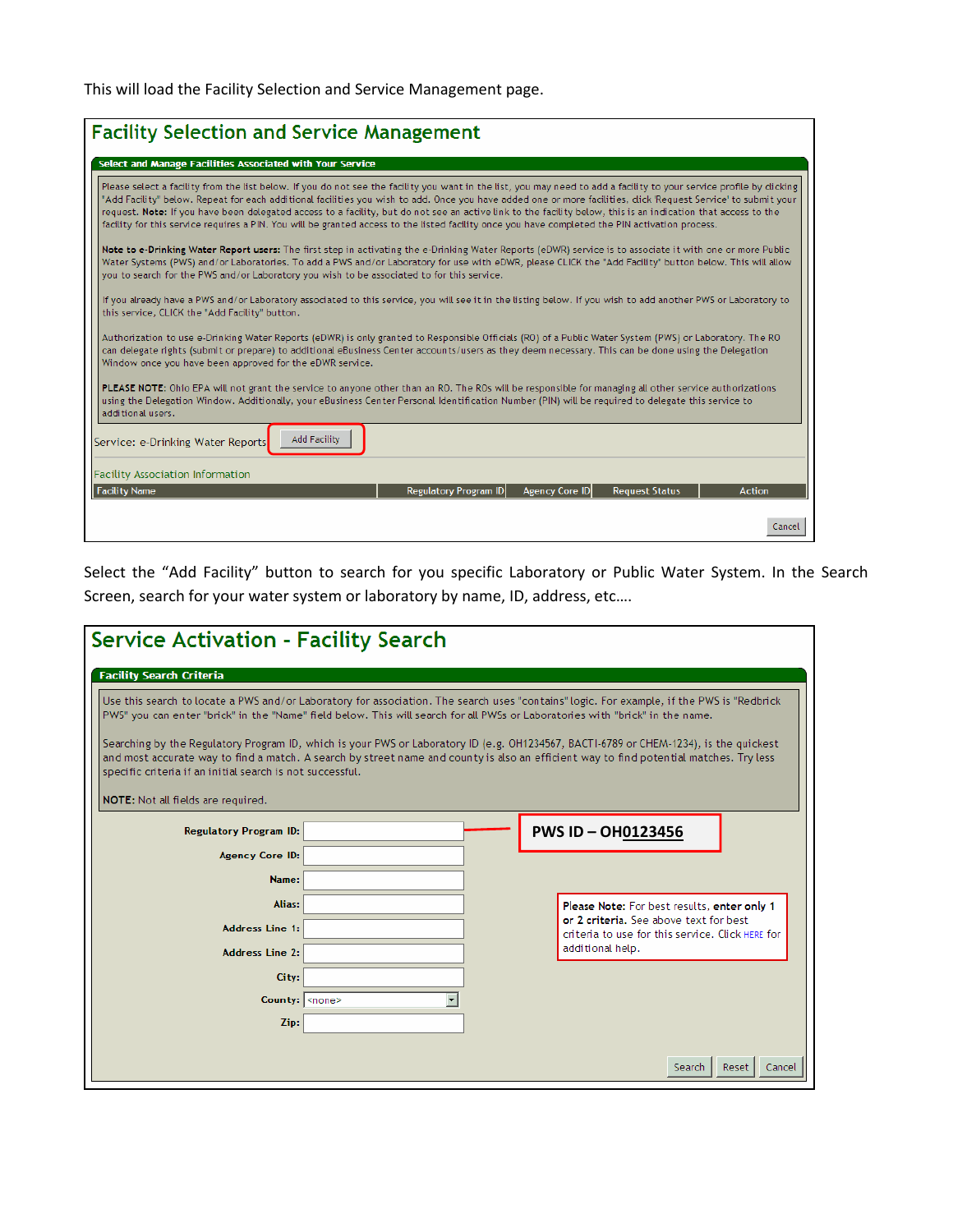This will load the Facility Selection and Service Management page.

| <b>Facility Selection and Service Management</b>                                                                                                                                                                                                                                                                                                                                                                                                                                                                                                                                                                                                           |  |  |  |  |  |
|------------------------------------------------------------------------------------------------------------------------------------------------------------------------------------------------------------------------------------------------------------------------------------------------------------------------------------------------------------------------------------------------------------------------------------------------------------------------------------------------------------------------------------------------------------------------------------------------------------------------------------------------------------|--|--|--|--|--|
| Select and Manage Facilities Associated with Your Service                                                                                                                                                                                                                                                                                                                                                                                                                                                                                                                                                                                                  |  |  |  |  |  |
| Please select a facility from the list below. If you do not see the facility you want in the list, you may need to add a facility to your service profile by dicking<br>"Add Facility" below. Repeat for each additional facilities you wish to add. Once you have added one or more facilities, dick 'Request Service' to submit your<br>request. Note: If you have been delegated access to a facility, but do not see an active link to the facility below, this is an indication that access to the<br>facility for this service requires a PIN. You will be granted access to the listed facility once you have completed the PIN activation process. |  |  |  |  |  |
| Note to e-Drinking Water Report users: The first step in activating the e-Drinking Water Reports (eDWR) service is to associate it with one or more Public<br>Water Systems (PWS) and/or Laboratories. To add a PWS and/or Laboratory for use with eDWR, please CLICK the "Add Facility" button below. This will allow<br>you to search for the PWS and/or Laboratory you wish to be associated to for this service.                                                                                                                                                                                                                                       |  |  |  |  |  |
| If you already have a PWS and/or Laboratory associated to this service, you will see it in the listing below. If you wish to add another PWS or Laboratory to<br>this service, CLICK the "Add Facility" button.                                                                                                                                                                                                                                                                                                                                                                                                                                            |  |  |  |  |  |
| Authorization to use e-Drinking Water Reports (eDWR) is only granted to Responsible Officials (RO) of a Public Water System (PWS) or Laboratory. The RO<br>can delegate rights (submit or prepare) to additional eBusiness Center accounts/users as they deem necessary. This can be done using the Delegation<br>Window once you have been approved for the eDWR service.                                                                                                                                                                                                                                                                                 |  |  |  |  |  |
| PLEASE NOTE: Ohio EPA will not grant the service to anyone other than an RO. The ROs will be responsible for managing all other service authorizations<br>using the Delegation Window. Additionally, your eBusiness Center Personal Identification Number (PIN) will be required to delegate this service to<br>additional users.                                                                                                                                                                                                                                                                                                                          |  |  |  |  |  |
| <b>Add Facility</b><br>Service: e-Drinking Water Reports                                                                                                                                                                                                                                                                                                                                                                                                                                                                                                                                                                                                   |  |  |  |  |  |
| <b>Facility Association Information</b>                                                                                                                                                                                                                                                                                                                                                                                                                                                                                                                                                                                                                    |  |  |  |  |  |
| <b>Facility Name</b><br><b>Regulatory Program ID</b><br><b>Agency Core ID</b><br><b>Request Status</b><br><b>Action</b>                                                                                                                                                                                                                                                                                                                                                                                                                                                                                                                                    |  |  |  |  |  |
| Cancel                                                                                                                                                                                                                                                                                                                                                                                                                                                                                                                                                                                                                                                     |  |  |  |  |  |

Select the "Add Facility" button to search for you specific Laboratory or Public Water System. In the Search Screen, search for your water system or laboratory by name, ID, address, etc….

| <b>Service Activation - Facility Search</b>                                                                                                                                                                                                                                                                                                                                                                                                                                                                                                                                                                                                                      |  |  |  |                                                                                       |                 |  |
|------------------------------------------------------------------------------------------------------------------------------------------------------------------------------------------------------------------------------------------------------------------------------------------------------------------------------------------------------------------------------------------------------------------------------------------------------------------------------------------------------------------------------------------------------------------------------------------------------------------------------------------------------------------|--|--|--|---------------------------------------------------------------------------------------|-----------------|--|
| <b>Facility Search Criteria</b>                                                                                                                                                                                                                                                                                                                                                                                                                                                                                                                                                                                                                                  |  |  |  |                                                                                       |                 |  |
| Use this search to locate a PWS and/or Laboratory for association. The search uses "contains" logic. For example, if the PWS is "Redbrick<br>PWS" you can enter "brick" in the "Name" field below. This will search for all PWSs or Laboratories with "brick" in the name.<br>Searching by the Regulatory Program ID, which is your PWS or Laboratory ID (e.g. OH1234567, BACTI-6789 or CHEM-1234), is the quickest<br>and most accurate way to find a match. A search by street name and county is also an efficient way to find potential matches. Try less<br>specific criteria if an initial search is not successful.<br>NOTE: Not all fields are required. |  |  |  |                                                                                       |                 |  |
| <b>Regulatory Program ID:</b>                                                                                                                                                                                                                                                                                                                                                                                                                                                                                                                                                                                                                                    |  |  |  | <b>PWS ID-OH0123456</b>                                                               |                 |  |
| <b>Agency Core ID:</b>                                                                                                                                                                                                                                                                                                                                                                                                                                                                                                                                                                                                                                           |  |  |  |                                                                                       |                 |  |
| Name:                                                                                                                                                                                                                                                                                                                                                                                                                                                                                                                                                                                                                                                            |  |  |  |                                                                                       |                 |  |
| Alias:                                                                                                                                                                                                                                                                                                                                                                                                                                                                                                                                                                                                                                                           |  |  |  | Please Note: For best results, enter only 1<br>or 2 criteria. See above text for best |                 |  |
| <b>Address Line 1:</b>                                                                                                                                                                                                                                                                                                                                                                                                                                                                                                                                                                                                                                           |  |  |  | criteria to use for this service. Click HERE for<br>additional help.                  |                 |  |
| <b>Address Line 2:</b>                                                                                                                                                                                                                                                                                                                                                                                                                                                                                                                                                                                                                                           |  |  |  |                                                                                       |                 |  |
| City:<br>County: <none></none>                                                                                                                                                                                                                                                                                                                                                                                                                                                                                                                                                                                                                                   |  |  |  |                                                                                       |                 |  |
| Zip:                                                                                                                                                                                                                                                                                                                                                                                                                                                                                                                                                                                                                                                             |  |  |  |                                                                                       |                 |  |
|                                                                                                                                                                                                                                                                                                                                                                                                                                                                                                                                                                                                                                                                  |  |  |  |                                                                                       |                 |  |
|                                                                                                                                                                                                                                                                                                                                                                                                                                                                                                                                                                                                                                                                  |  |  |  | Search                                                                                | Reset<br>Cancel |  |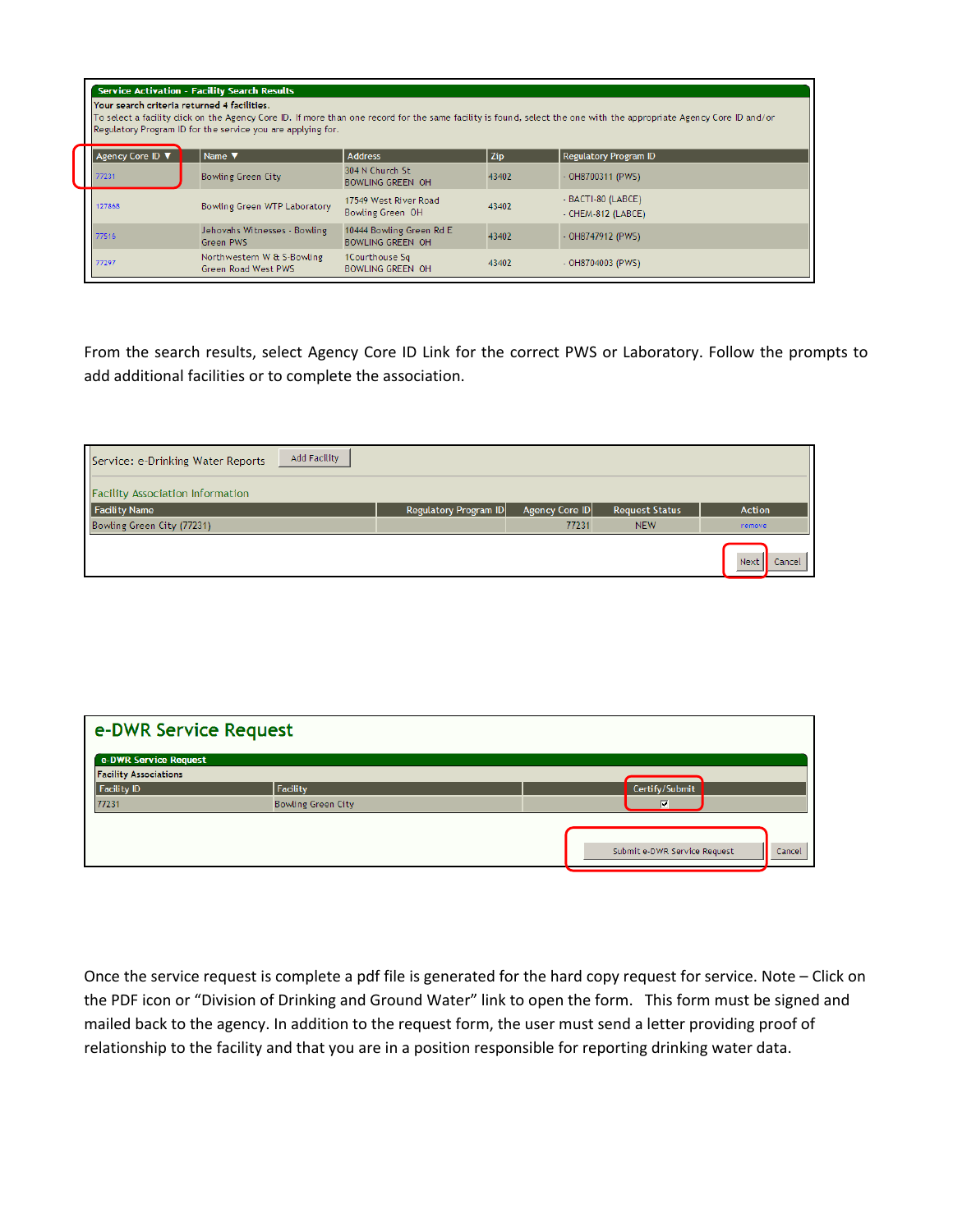| <b>Service Activation - Facility Search Results</b><br>Your search criteria returned 4 facilities.<br>To select a facility dick on the Agency Core ID. If more than one record for the same facility is found, select the one with the appropriate Agency Core ID and/or<br>Regulatory Program ID for the service you are applying for. |                                                   |                                                     |       |                                          |  |  |
|-----------------------------------------------------------------------------------------------------------------------------------------------------------------------------------------------------------------------------------------------------------------------------------------------------------------------------------------|---------------------------------------------------|-----------------------------------------------------|-------|------------------------------------------|--|--|
| Agency Core ID V                                                                                                                                                                                                                                                                                                                        | Name <b>V</b>                                     | <b>Address</b>                                      | Zip   | <b>Regulatory Program ID</b>             |  |  |
| 77231                                                                                                                                                                                                                                                                                                                                   | <b>Bowling Green City</b>                         | 304 N Church St<br><b>BOWLING GREEN OH</b>          | 43402 | $-$ OH8700311 (PWS)                      |  |  |
| 127868                                                                                                                                                                                                                                                                                                                                  | Bowling Green WTP Laboratory                      | 17549 West River Road<br>Bowling Green OH           | 43402 | - BACTI-80 (LABCE)<br>- CHEM-812 (LABCE) |  |  |
| 77516                                                                                                                                                                                                                                                                                                                                   | Jehovahs Witnesses - Bowling<br>Green PWS         | 10444 Bowling Green Rd E<br><b>BOWLING GREEN OH</b> | 43402 | - OH8747912 (PWS)                        |  |  |
| 77297                                                                                                                                                                                                                                                                                                                                   | Northwestern W & S-Bowling<br>Green Road West PWS | 1Courthouse Sq<br><b>BOWLING GREEN OH</b>           | 43402 | - OH8704003 (PWS)                        |  |  |

From the search results, select Agency Core ID Link for the correct PWS or Laboratory. Follow the prompts to add additional facilities or to complete the association.

| Add Facility<br>Service: e-Drinking Water Reports |                       |                |                       |                |
|---------------------------------------------------|-----------------------|----------------|-----------------------|----------------|
| <b>Facility Association Information</b>           |                       |                |                       |                |
| Facility Name                                     | Regulatory Program ID | Agency Core ID | <b>Request Status</b> | Action         |
| Bowling Green City (77231)                        |                       | 77231          | <b>NEW</b>            | remove         |
|                                                   |                       |                |                       | Next<br>Cancel |

| e-DWR Service Request        |                           |                                        |
|------------------------------|---------------------------|----------------------------------------|
| e-DWR Service Request        |                           |                                        |
| <b>Facility Associations</b> |                           |                                        |
| Facility ID                  | Facility                  | Certify/Submit                         |
| 77231                        | <b>Bowling Green City</b> | ⊽                                      |
|                              |                           |                                        |
|                              |                           | Submit e-DWR Service Request<br>Cancel |

Once the service request is complete a pdf file is generated for the hard copy request for service. Note – Click on the PDF icon or "Division of Drinking and Ground Water" link to open the form. This form must be signed and mailed back to the agency. In addition to the request form, the user must send a letter providing proof of relationship to the facility and that you are in a position responsible for reporting drinking water data.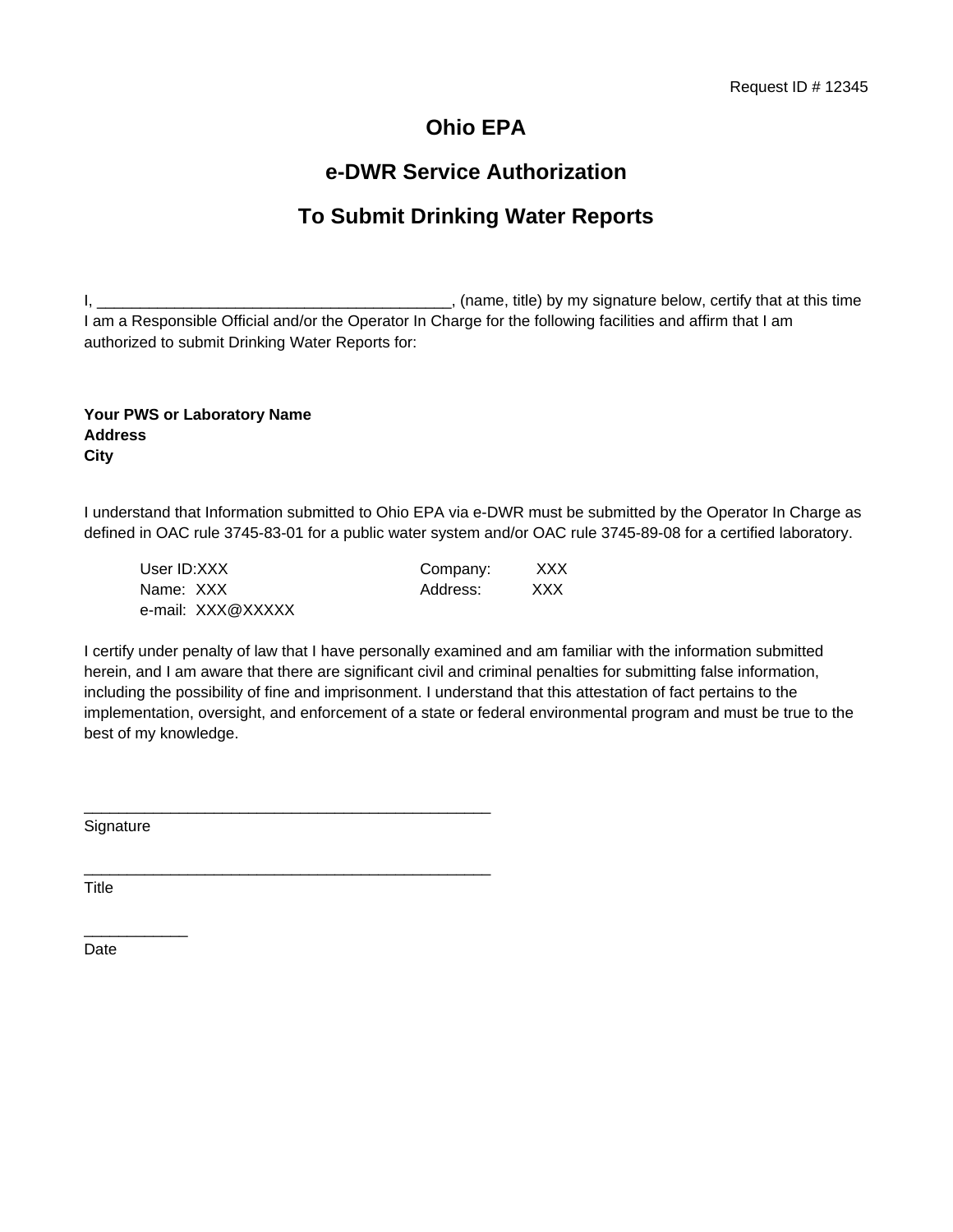# **Ohio EPA**

## **e-DWR Service Authorization**

# **To Submit Drinking Water Reports**

I, \_\_\_\_\_\_\_\_\_\_\_\_\_\_\_\_\_\_\_\_\_\_\_\_\_\_\_\_\_\_\_\_\_\_\_\_\_\_\_\_\_, (name, title) by my signature below, certify that at this time I am a Responsible Official and/or the Operator In Charge for the following facilities and affirm that I am authorized to submit Drinking Water Reports for:

### **Your PWS or Laboratory Name Address City**

I understand that Information submitted to Ohio EPA via e-DWR must be submitted by the Operator In Charge as defined in OAC rule 3745-83-01 for a public water system and/or OAC rule 3745-89-08 for a certified laboratory.

| User ID:XXX       | Company: | XXX. |
|-------------------|----------|------|
| Name: XXX         | Address: | XXX  |
| e-mail: XXX@XXXXX |          |      |

\_\_\_\_\_\_\_\_\_\_\_\_\_\_\_\_\_\_\_\_\_\_\_\_\_\_\_\_\_\_\_\_\_\_\_\_\_\_\_\_\_\_\_\_\_\_\_

\_\_\_\_\_\_\_\_\_\_\_\_\_\_\_\_\_\_\_\_\_\_\_\_\_\_\_\_\_\_\_\_\_\_\_\_\_\_\_\_\_\_\_\_\_\_\_

I certify under penalty of law that I have personally examined and am familiar with the information submitted herein, and I am aware that there are significant civil and criminal penalties for submitting false information, including the possibility of fine and imprisonment. I understand that this attestation of fact pertains to the implementation, oversight, and enforcement of a state or federal environmental program and must be true to the best of my knowledge.

**Signature** 

\_\_\_\_\_\_\_\_\_\_\_\_

**Title** 

Date